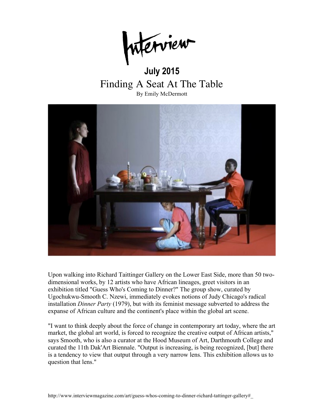## **July 2015** Finding A Seat At The Table By Emily McDermott



Upon walking into Richard Taittinger Gallery on the Lower East Side, more than 50 twodimensional works, by 12 artists who have African lineages, greet visitors in an exhibition titled "Guess Who's Coming to Dinner?" The group show, curated by Ugochukwu-Smooth C. Nzewi, immediately evokes notions of Judy Chicago's radical installation *Dinner Party* (1979), but with its feminist message subverted to address the expanse of African culture and the continent's place within the global art scene.

"I want to think deeply about the force of change in contemporary art today, where the art market, the global art world, is forced to recognize the creative output of African artists," says Smooth, who is also a curator at the Hood Museum of Art, Darthmouth College and curated the 11th Dak'Art Biennale. "Output is increasing, is being recognized, [but] there is a tendency to view that output through a very narrow lens. This exhibition allows us to question that lens."